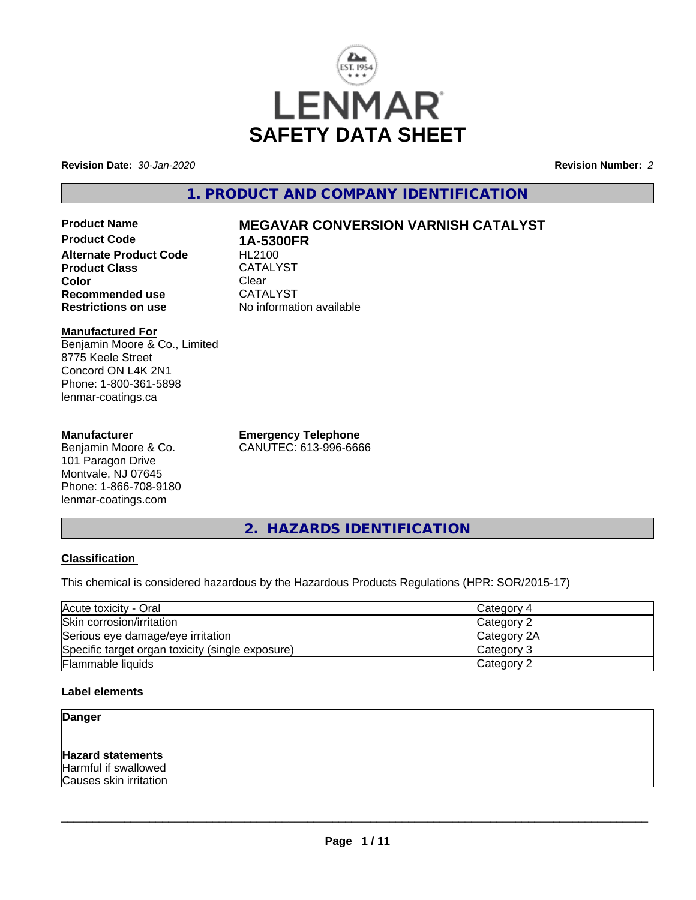

**Revision Date:** *30-Jan-2020* **Revision Number:** *2*

**1. PRODUCT AND COMPANY IDENTIFICATION**

**Product Name MEGAVAR CONVERSION VARNISH CATALYST Product Code 1A-5300FR Alternate Product Code Product Class** CATALYST<br> **Color** Clear **Color** Clear Clear **Recommended use** CATALYST<br> **Restrictions on use** No information

### **Manufactured For** Benjamin Moore & Co., Limited 8775 Keele Street Concord ON L4K 2N1 Phone: 1-800-361-5898 lenmar-coatings.ca

# **Manufacturer**

Benjamin Moore & Co. 101 Paragon Drive Montvale, NJ 07645 Phone: 1-866-708-9180 lenmar-coatings.com

**Emergency Telephone** CANUTEC: 613-996-6666

**No information available** 

**2. HAZARDS IDENTIFICATION**

# **Classification**

This chemical is considered hazardous by the Hazardous Products Regulations (HPR: SOR/2015-17)

| Acute toxicity - Oral                            | Category 4  |
|--------------------------------------------------|-------------|
| Skin corrosion/irritation                        | Category 2  |
| Serious eye damage/eye irritation                | Category 2A |
| Specific target organ toxicity (single exposure) | Category 3  |
| Flammable liquids                                | Category 2  |

# **Label elements**

**Danger**

**Hazard statements** Harmful if swallowed Causes skin irritation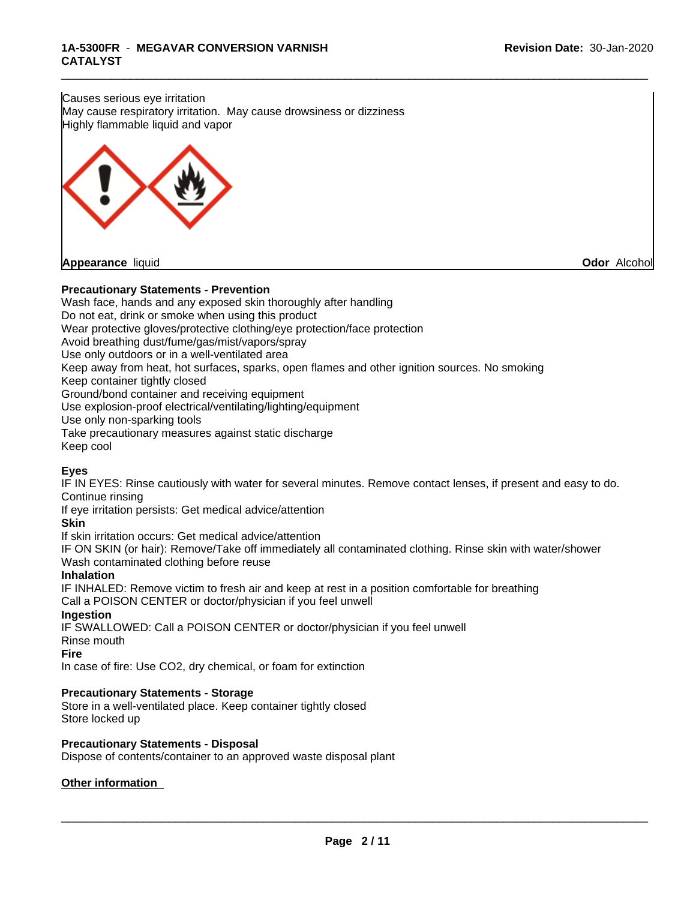**Odor** Alcohol



\_\_\_\_\_\_\_\_\_\_\_\_\_\_\_\_\_\_\_\_\_\_\_\_\_\_\_\_\_\_\_\_\_\_\_\_\_\_\_\_\_\_\_\_\_\_\_\_\_\_\_\_\_\_\_\_\_\_\_\_\_\_\_\_\_\_\_\_\_\_\_\_\_\_\_\_\_\_\_\_\_\_\_\_\_\_\_\_\_\_\_\_\_

Wash face, hands and any exposed skin thoroughly after handling

Do not eat, drink or smoke when using this product

Wear protective gloves/protective clothing/eye protection/face protection

Avoid breathing dust/fume/gas/mist/vapors/spray

Use only outdoors or in a well-ventilated area

Keep away from heat, hot surfaces, sparks, open flames and other ignition sources. No smoking

Keep container tightly closed

Ground/bond container and receiving equipment

Use explosion-proof electrical/ventilating/lighting/equipment

Use only non-sparking tools

Take precautionary measures against static discharge

Keep cool

# **Eyes**

IF IN EYES: Rinse cautiously with water for several minutes. Remove contact lenses, if present and easy to do. Continue rinsing

If eye irritation persists: Get medical advice/attention

**Skin**

If skin irritation occurs: Get medical advice/attention

IF ON SKIN (or hair): Remove/Take off immediately all contaminated clothing. Rinse skin with water/shower Wash contaminated clothing before reuse

# **Inhalation**

IF INHALED: Remove victim to fresh air and keep at rest in a position comfortable for breathing Call a POISON CENTER or doctor/physician if you feel unwell

### **Ingestion**

IF SWALLOWED: Call a POISON CENTER or doctor/physician if you feel unwell

Rinse mouth

# **Fire**

In case of fire: Use CO2, dry chemical, or foam for extinction

# **Precautionary Statements - Storage**

Store in a well-ventilated place. Keep container tightly closed Store locked up

### **Precautionary Statements - Disposal**

Dispose of contents/container to an approved waste disposal plant

# **Other information**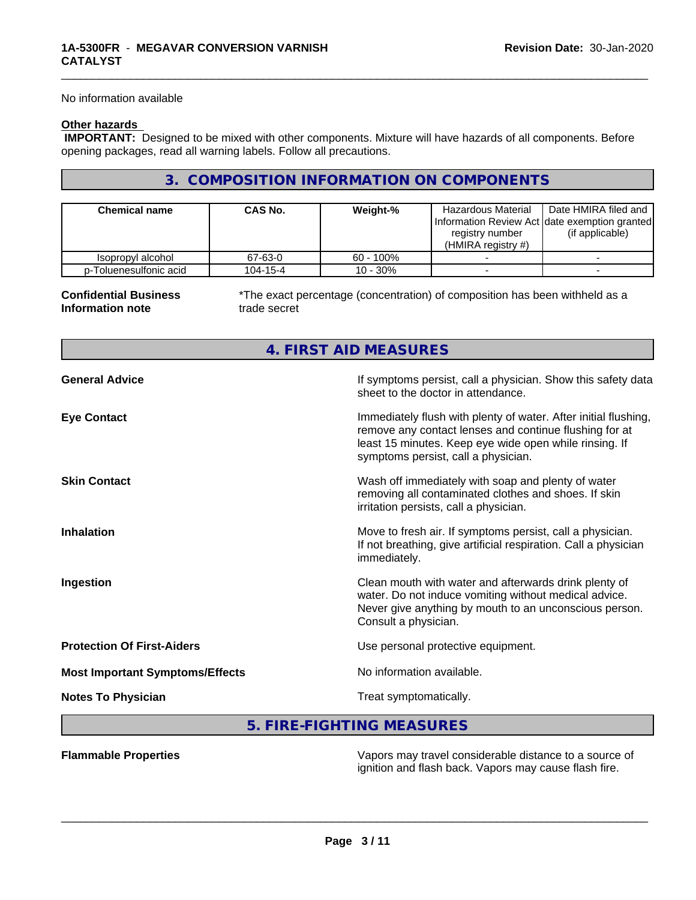No information available

# **Other hazards**

 **IMPORTANT:** Designed to be mixed with other components. Mixture will have hazards of all components. Before opening packages, read all warning labels. Follow all precautions.

# **3. COMPOSITION INFORMATION ON COMPONENTS**

| <b>Chemical name</b>   | <b>CAS No.</b> | Weight-%     | Hazardous Material<br>Information Review Act Idate exemption granted<br>registry number<br>(HMIRA registry $#$ ) | Date HMIRA filed and<br>(if applicable) |
|------------------------|----------------|--------------|------------------------------------------------------------------------------------------------------------------|-----------------------------------------|
| Isopropyl alcohol      | 67-63-0        | $60 - 100\%$ |                                                                                                                  |                                         |
| p-Toluenesulfonic acid | 104-15-4       | $10 - 30%$   |                                                                                                                  |                                         |

**4. FIRST AID MEASURES**

#### **Confidential Business Information note**

\*The exact percentage (concentration) of composition has been withheld as a trade secret

\_\_\_\_\_\_\_\_\_\_\_\_\_\_\_\_\_\_\_\_\_\_\_\_\_\_\_\_\_\_\_\_\_\_\_\_\_\_\_\_\_\_\_\_\_\_\_\_\_\_\_\_\_\_\_\_\_\_\_\_\_\_\_\_\_\_\_\_\_\_\_\_\_\_\_\_\_\_\_\_\_\_\_\_\_\_\_\_\_\_\_\_\_

| <b>General Advice</b>                  | If symptoms persist, call a physician. Show this safety data<br>sheet to the doctor in attendance.                                                                                                                         |
|----------------------------------------|----------------------------------------------------------------------------------------------------------------------------------------------------------------------------------------------------------------------------|
| <b>Eye Contact</b>                     | Immediately flush with plenty of water. After initial flushing,<br>remove any contact lenses and continue flushing for at<br>least 15 minutes. Keep eye wide open while rinsing. If<br>symptoms persist, call a physician. |
| <b>Skin Contact</b>                    | Wash off immediately with soap and plenty of water<br>removing all contaminated clothes and shoes. If skin<br>irritation persists, call a physician.                                                                       |
| <b>Inhalation</b>                      | Move to fresh air. If symptoms persist, call a physician.<br>If not breathing, give artificial respiration. Call a physician<br>immediately.                                                                               |
| Ingestion                              | Clean mouth with water and afterwards drink plenty of<br>water. Do not induce vomiting without medical advice.<br>Never give anything by mouth to an unconscious person.<br>Consult a physician.                           |
| <b>Protection Of First-Aiders</b>      | Use personal protective equipment.                                                                                                                                                                                         |
| <b>Most Important Symptoms/Effects</b> | No information available.                                                                                                                                                                                                  |
| <b>Notes To Physician</b>              | Treat symptomatically.                                                                                                                                                                                                     |
|                                        |                                                                                                                                                                                                                            |

# **5. FIRE-FIGHTING MEASURES**

**Flammable Properties** Vapors may travel considerable distance to a source of ignition and flash back. Vapors may cause flash fire.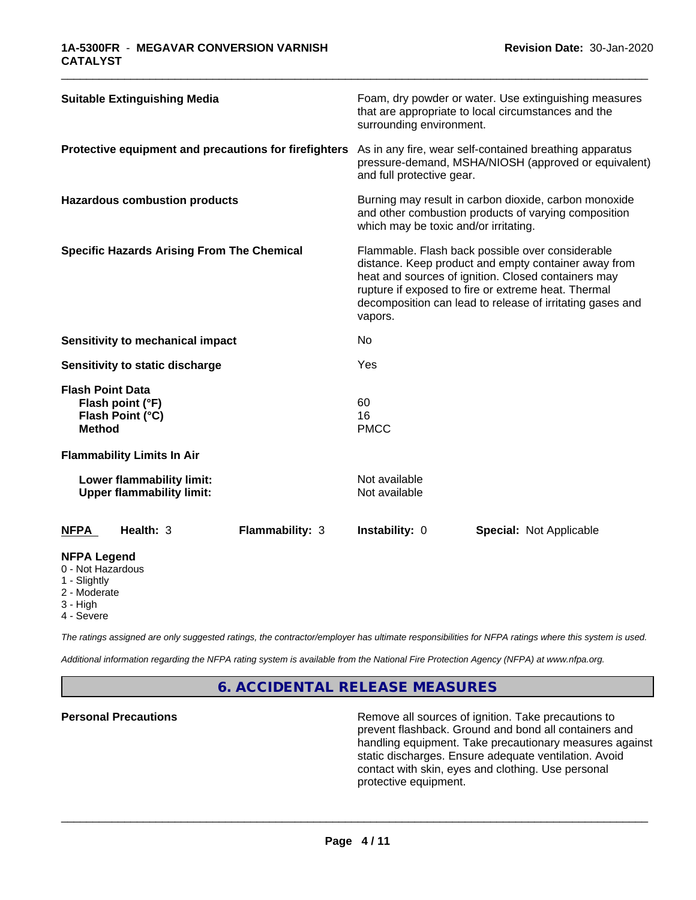| <b>Suitable Extinguishing Media</b>                                                 |                 | surrounding environment.              | Foam, dry powder or water. Use extinguishing measures<br>that are appropriate to local circumstances and the                                                                                                                                                                        |  |
|-------------------------------------------------------------------------------------|-----------------|---------------------------------------|-------------------------------------------------------------------------------------------------------------------------------------------------------------------------------------------------------------------------------------------------------------------------------------|--|
| Protective equipment and precautions for firefighters                               |                 | and full protective gear.             | As in any fire, wear self-contained breathing apparatus<br>pressure-demand, MSHA/NIOSH (approved or equivalent)                                                                                                                                                                     |  |
| <b>Hazardous combustion products</b>                                                |                 | which may be toxic and/or irritating. | Burning may result in carbon dioxide, carbon monoxide<br>and other combustion products of varying composition                                                                                                                                                                       |  |
| <b>Specific Hazards Arising From The Chemical</b>                                   |                 | vapors.                               | Flammable. Flash back possible over considerable<br>distance. Keep product and empty container away from<br>heat and sources of ignition. Closed containers may<br>rupture if exposed to fire or extreme heat. Thermal<br>decomposition can lead to release of irritating gases and |  |
| <b>Sensitivity to mechanical impact</b>                                             |                 | No                                    |                                                                                                                                                                                                                                                                                     |  |
| Sensitivity to static discharge                                                     |                 | Yes                                   |                                                                                                                                                                                                                                                                                     |  |
| <b>Flash Point Data</b><br>Flash point (°F)<br>Flash Point (°C)<br><b>Method</b>    |                 | 60<br>16<br><b>PMCC</b>               |                                                                                                                                                                                                                                                                                     |  |
| <b>Flammability Limits In Air</b>                                                   |                 |                                       |                                                                                                                                                                                                                                                                                     |  |
| Lower flammability limit:<br><b>Upper flammability limit:</b>                       |                 | Not available<br>Not available        |                                                                                                                                                                                                                                                                                     |  |
| Health: 3<br><b>NFPA</b>                                                            | Flammability: 3 | Instability: 0                        | <b>Special: Not Applicable</b>                                                                                                                                                                                                                                                      |  |
| <b>NFPA Legend</b><br>0 - Not Hazardous<br>1 - Slightly<br>2 - Moderate<br>3 - High |                 |                                       |                                                                                                                                                                                                                                                                                     |  |

\_\_\_\_\_\_\_\_\_\_\_\_\_\_\_\_\_\_\_\_\_\_\_\_\_\_\_\_\_\_\_\_\_\_\_\_\_\_\_\_\_\_\_\_\_\_\_\_\_\_\_\_\_\_\_\_\_\_\_\_\_\_\_\_\_\_\_\_\_\_\_\_\_\_\_\_\_\_\_\_\_\_\_\_\_\_\_\_\_\_\_\_\_

4 - Severe

*The ratings assigned are only suggested ratings, the contractor/employer has ultimate responsibilities for NFPA ratings where this system is used.*

*Additional information regarding the NFPA rating system is available from the National Fire Protection Agency (NFPA) at www.nfpa.org.*

# **6. ACCIDENTAL RELEASE MEASURES**

**Personal Precautions Remove all sources of ignition. Take precautions to** Remove all sources of ignition. Take precautions to prevent flashback. Ground and bond all containers and handling equipment. Take precautionary measures against static discharges. Ensure adequate ventilation. Avoid contact with skin, eyes and clothing. Use personal protective equipment.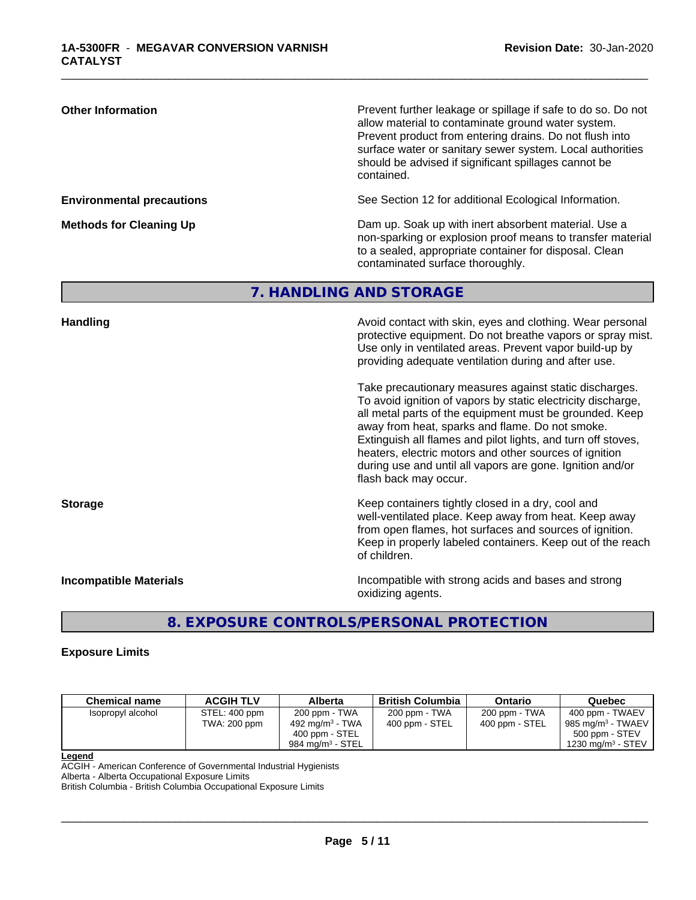| <b>Other Information</b>         | Prevent further leakage or spillage if safe to do so. Do not<br>allow material to contaminate ground water system.<br>Prevent product from entering drains. Do not flush into<br>surface water or sanitary sewer system. Local authorities<br>should be advised if significant spillages cannot be<br>contained. |
|----------------------------------|------------------------------------------------------------------------------------------------------------------------------------------------------------------------------------------------------------------------------------------------------------------------------------------------------------------|
| <b>Environmental precautions</b> | See Section 12 for additional Ecological Information.                                                                                                                                                                                                                                                            |
| <b>Methods for Cleaning Up</b>   | Dam up. Soak up with inert absorbent material. Use a<br>non-sparking or explosion proof means to transfer material<br>to a sealed, appropriate container for disposal. Clean<br>contaminated surface thoroughly.                                                                                                 |
|                                  | 7. HANDLING AND STORAGE                                                                                                                                                                                                                                                                                          |
| <b>Handling</b>                  | Avoid contact with skin, eyes and clothing. Wear personal<br>protective equipment. Do not breathe vapors or spray mist.<br>Use only in ventilated areas. Prevent vapor build-up by<br>providing adequate ventilation during and after use.<br>Take precautionary measures against static discharges.             |
|                                  | To avoid ignition of vapors by static electricity discharge,<br>all metal parts of the equipment must be grounded. Keep<br>away from heat, sparks and flame. Do not smoke.                                                                                                                                       |

\_\_\_\_\_\_\_\_\_\_\_\_\_\_\_\_\_\_\_\_\_\_\_\_\_\_\_\_\_\_\_\_\_\_\_\_\_\_\_\_\_\_\_\_\_\_\_\_\_\_\_\_\_\_\_\_\_\_\_\_\_\_\_\_\_\_\_\_\_\_\_\_\_\_\_\_\_\_\_\_\_\_\_\_\_\_\_\_\_\_\_\_\_

**Storage Keep containers tightly closed in a dry, cool and Storage Keep containers tightly closed in a dry, cool and** 

**Incompatible Materials Incompatible with strong acids and bases and strong** oxidizing agents.

Extinguish all flames and pilot lights, and turn off stoves, heaters, electric motors and other sources of ignition during use and until all vapors are gone. Ignition and/or

well-ventilated place. Keep away from heat. Keep away from open flames, hot surfaces and sources of ignition. Keep in properly labeled containers. Keep out of the reach

# **8. EXPOSURE CONTROLS/PERSONAL PROTECTION**

of children.

flash back may occur.

### **Exposure Limits**

| <b>Chemical name</b> | <b>ACGIH TLV</b>              | Alberta                                                                      | <b>British Columbia</b>         | <b>Ontario</b>                  | Quebec                                                                                                              |
|----------------------|-------------------------------|------------------------------------------------------------------------------|---------------------------------|---------------------------------|---------------------------------------------------------------------------------------------------------------------|
| Isopropyl alcohol    | STEL: 400 ppm<br>TWA: 200 ppm | 200 ppm - TWA<br>492 mg/m $3$ - TWA<br>400 ppm - STEL<br>984 ma/m $3$ - STEL | 200 ppm - TWA<br>400 ppm - STEL | 200 ppm - TWA<br>400 ppm - STEL | 400 ppm - TWAEV<br>$\frac{1}{2}$ 985 mg/m <sup>3</sup> - TWAEV<br>500 ppm - STEV<br>1230 mg/m <sup>3</sup> - STEV + |

#### **Legend**

ACGIH - American Conference of Governmental Industrial Hygienists Alberta - Alberta Occupational Exposure Limits

British Columbia - British Columbia Occupational Exposure Limits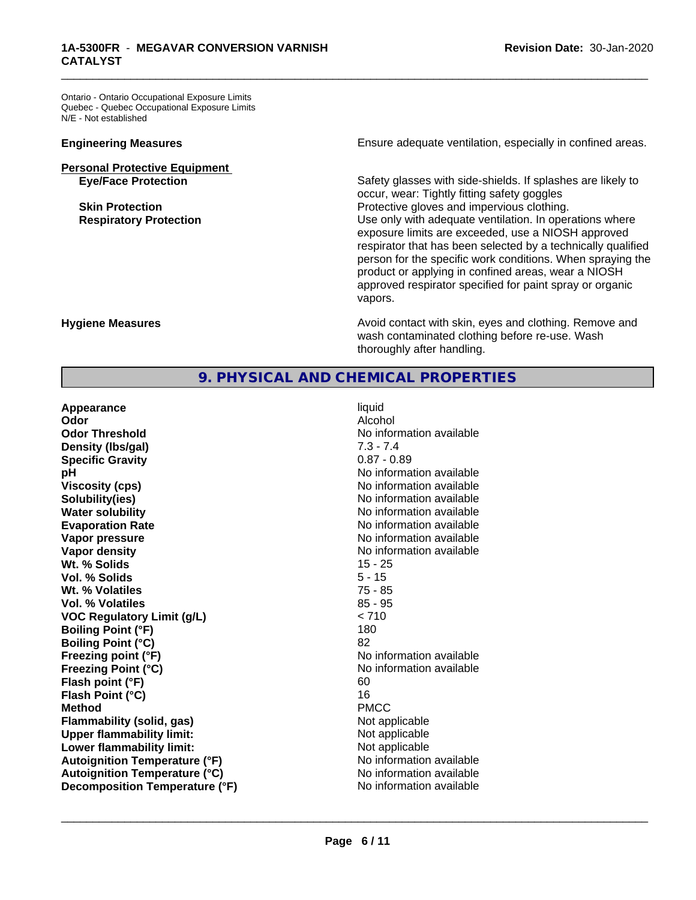Ontario - Ontario Occupational Exposure Limits Quebec - Quebec Occupational Exposure Limits N/E - Not established

# **Personal Protective Equipment**<br> **Eye/Face Protection**

**Engineering Measures Ensure** Ensure adequate ventilation, especially in confined areas.

\_\_\_\_\_\_\_\_\_\_\_\_\_\_\_\_\_\_\_\_\_\_\_\_\_\_\_\_\_\_\_\_\_\_\_\_\_\_\_\_\_\_\_\_\_\_\_\_\_\_\_\_\_\_\_\_\_\_\_\_\_\_\_\_\_\_\_\_\_\_\_\_\_\_\_\_\_\_\_\_\_\_\_\_\_\_\_\_\_\_\_\_\_

Safety glasses with side-shields. If splashes are likely to occur, wear: Tightly fitting safety goggles **Skin Protection Protection Protective gloves and impervious clothing. Respiratory Protection Number 1** (Use only with adequate ventilation. In operations where exposure limits are exceeded, use a NIOSH approved respirator that has been selected by a technically qualified person for the specific work conditions. When spraying the product or applying in confined areas, wear a NIOSH approved respirator specified for paint spray or organic vapors.

**Hygiene Measures Avoid contact with skin, eyes and clothing. Remove and Avoid contact with skin, eyes and clothing. Remove and Avoid contact with skin, eyes and clothing. Remove and** wash contaminated clothing before re-use. Wash thoroughly after handling.

# **9. PHYSICAL AND CHEMICAL PROPERTIES**

**Appearance** liquid **Odor** Alcohol **Odor Threshold No information available No information available Density (lbs/gal)** 7.3 - 7.4 **Specific Gravity** 0.87 - 0.89 **pH pH**  $\blacksquare$ **Viscosity (cps)** No information available Notice 1, 1999 **Solubility(ies)** No information available **Water solubility Water solubility Water solubility Water solubility Water solubility Water solution Evaporation Rate No information available No information available Vapor pressure** No information available **Vapor density No information available No information available Wt. % Solids** 15 - 25 **Vol. % Solids** 5 - 15 **Wt. % Volatiles** 75 - 85 **Vol. % Volatiles** 85 - 95 **VOC Regulatory Limit (g/L)** < 710 **Boiling Point (°F)** 180 **Boiling Point (°C)** 82 **Freezing point (°F)** No information available **Freezing Point (°C)** No information available **Flash point (°F)** 60 **Flash Point (°C)** 16 **Method** PMCC **Flammability (solid, gas)** Not applicable **Upper flammability limit:** Not applicable **Lower flammability limit:**<br> **Autoignition Temperature (°F)** Not applicable Not applicable not a Not applicable **Autoignition Temperature (°F) Autoignition Temperature (°C)** No information available **Decomposition Temperature (°F)** No information available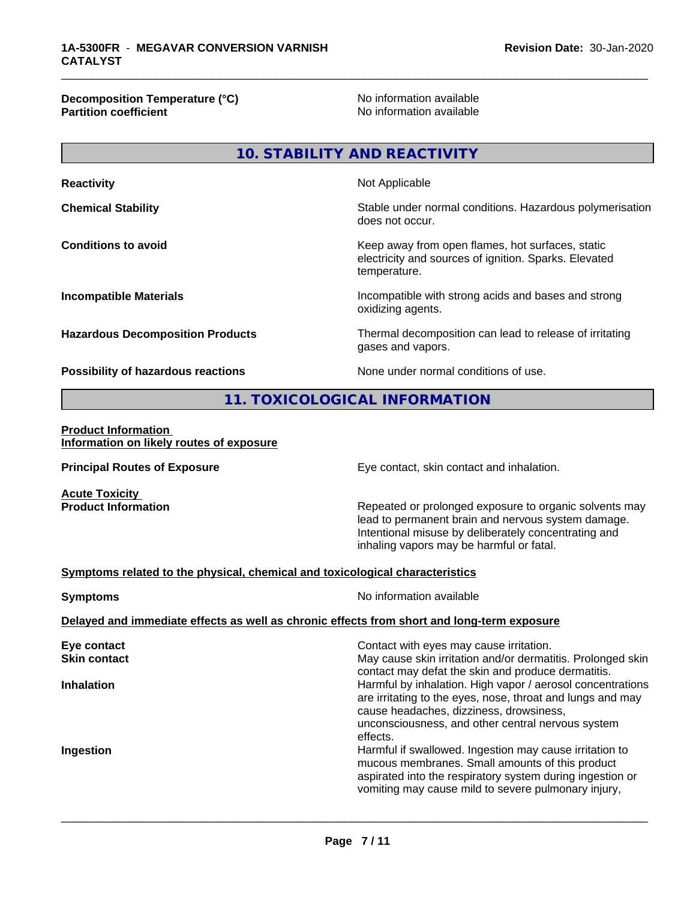**Decomposition Temperature (°C)**<br> **Partition coefficient**<br> **Partition coefficient**<br> **No** information available

**No information available** 

\_\_\_\_\_\_\_\_\_\_\_\_\_\_\_\_\_\_\_\_\_\_\_\_\_\_\_\_\_\_\_\_\_\_\_\_\_\_\_\_\_\_\_\_\_\_\_\_\_\_\_\_\_\_\_\_\_\_\_\_\_\_\_\_\_\_\_\_\_\_\_\_\_\_\_\_\_\_\_\_\_\_\_\_\_\_\_\_\_\_\_\_\_

# **10. STABILITY AND REACTIVITY**

| <b>Reactivity</b>                       | Not Applicable                                                                                                            |
|-----------------------------------------|---------------------------------------------------------------------------------------------------------------------------|
| <b>Chemical Stability</b>               | Stable under normal conditions. Hazardous polymerisation<br>does not occur.                                               |
| <b>Conditions to avoid</b>              | Keep away from open flames, hot surfaces, static<br>electricity and sources of ignition. Sparks. Elevated<br>temperature. |
| <b>Incompatible Materials</b>           | Incompatible with strong acids and bases and strong<br>oxidizing agents.                                                  |
| <b>Hazardous Decomposition Products</b> | Thermal decomposition can lead to release of irritating<br>gases and vapors.                                              |
|                                         |                                                                                                                           |

**Possibility of hazardous reactions** None under normal conditions of use.

# **11. TOXICOLOGICAL INFORMATION**

#### **Product Information Information on likely routes of exposure**

**Principal Routes of Exposure Exposure** Eye contact, skin contact and inhalation.

**Acute Toxicity<br>Product Information** 

Repeated or prolonged exposure to organic solvents may lead to permanent brain and nervous system damage. Intentional misuse by deliberately concentrating and inhaling vapors may be harmful or fatal.

# **Symptoms related to the physical,chemical and toxicological characteristics**

| <b>Symptoms</b>                    | No information available                                                                                                                                                                                                             |  |  |  |  |  |
|------------------------------------|--------------------------------------------------------------------------------------------------------------------------------------------------------------------------------------------------------------------------------------|--|--|--|--|--|
|                                    | Delayed and immediate effects as well as chronic effects from short and long-term exposure                                                                                                                                           |  |  |  |  |  |
| Eye contact<br><b>Skin contact</b> | Contact with eyes may cause irritation.<br>May cause skin irritation and/or dermatitis. Prolonged skin<br>contact may defat the skin and produce dermatitis.                                                                         |  |  |  |  |  |
| <b>Inhalation</b>                  | Harmful by inhalation. High vapor / aerosol concentrations<br>are irritating to the eyes, nose, throat and lungs and may<br>cause headaches, dizziness, drowsiness,<br>unconsciousness, and other central nervous system<br>effects. |  |  |  |  |  |
| Ingestion                          | Harmful if swallowed. Ingestion may cause irritation to<br>mucous membranes. Small amounts of this product<br>aspirated into the respiratory system during ingestion or<br>vomiting may cause mild to severe pulmonary injury,       |  |  |  |  |  |
|                                    |                                                                                                                                                                                                                                      |  |  |  |  |  |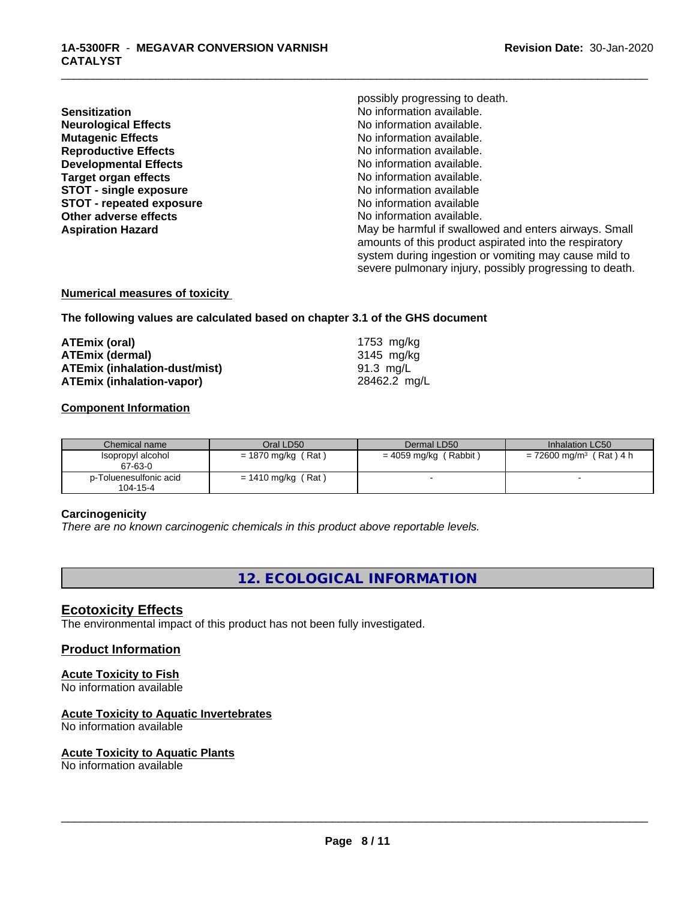**Sensitization**<br> **Sensitization**<br> **No information available.**<br>
No information available. **Neurological Effects Mutagenic Effects**<br> **Reproductive Effects**<br> **Reproductive Effects**<br> **Reproductive Effects Reproductive Effects**<br> **Reproductive Effects**<br> **Developmental Effects**<br> **No information available. Target organ effects** No information available. **STOT -** single exposure<br> **STOT** - repeated exposure<br> **STOT** - repeated exposure **STOT** - repeated exposure **Other adverse effects**  $\qquad \qquad \qquad$  No information available.

possibly progressing to death. **No information available. Aspiration Hazard** May be harmful if swallowed and enters airways. Small amounts of this product aspirated into the respiratory system during ingestion or vomiting may cause mild to severe pulmonary injury, possibly progressing to death.

\_\_\_\_\_\_\_\_\_\_\_\_\_\_\_\_\_\_\_\_\_\_\_\_\_\_\_\_\_\_\_\_\_\_\_\_\_\_\_\_\_\_\_\_\_\_\_\_\_\_\_\_\_\_\_\_\_\_\_\_\_\_\_\_\_\_\_\_\_\_\_\_\_\_\_\_\_\_\_\_\_\_\_\_\_\_\_\_\_\_\_\_\_

# **Numerical measures of toxicity**

**The following values are calculated based on chapter 3.1 of the GHS document**

| ATEmix (oral)                        | 1753 mg/kg   |
|--------------------------------------|--------------|
| <b>ATEmix (dermal)</b>               | 3145 mg/kg   |
| <b>ATEmix (inhalation-dust/mist)</b> | 91.3 mg/L    |
| <b>ATEmix (inhalation-vapor)</b>     | 28462.2 mg/L |

#### **Component Information**

| Chemical name                      | Oral LD50            | Dermal LD50             | Inhalation LC50                       |
|------------------------------------|----------------------|-------------------------|---------------------------------------|
| Isopropyl alcohol<br>67-63-0       | $= 1870$ mg/kg (Rat) | $= 4059$ mg/kg (Rabbit) | $= 72600$ mg/m <sup>3</sup> (Rat) 4 h |
| p-Toluenesulfonic acid<br>104-15-4 | $= 1410$ mg/kg (Rat) |                         |                                       |

#### **Carcinogenicity**

*There are no known carcinogenic chemicals in this product above reportable levels.*

**12. ECOLOGICAL INFORMATION**

### **Ecotoxicity Effects**

The environmental impact of this product has not been fully investigated.

### **Product Information**

# **Acute Toxicity to Fish**

No information available

# **Acute Toxicity to Aquatic Invertebrates**

No information available

#### **Acute Toxicity to Aquatic Plants**

No information available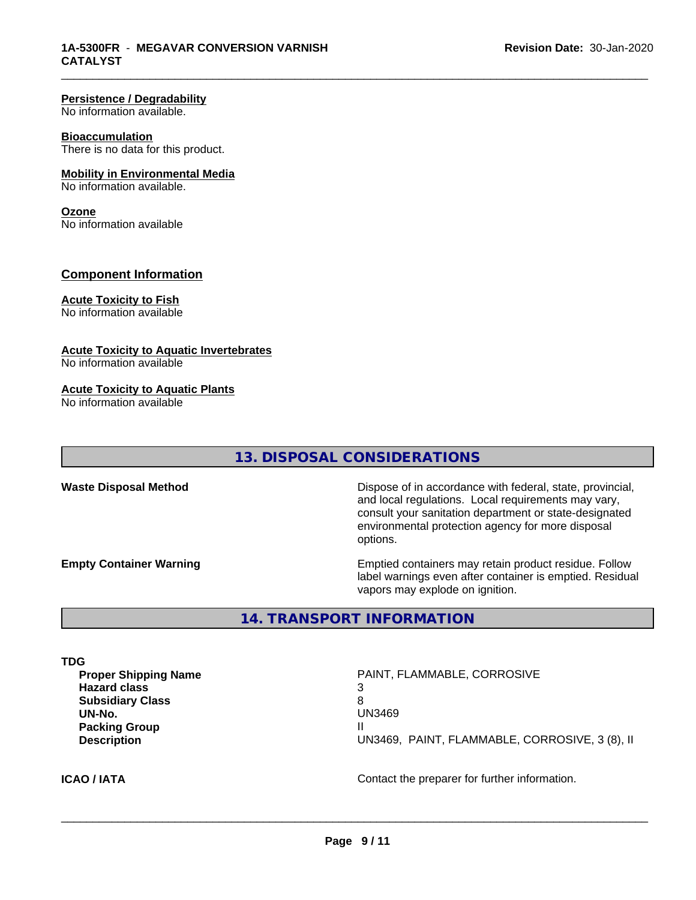#### **Persistence / Degradability**

No information available.

#### **Bioaccumulation**

There is no data for this product.

#### **Mobility in Environmental Media**

No information available.

#### **Ozone**

No information available

### **Component Information**

#### **Acute Toxicity to Fish**

No information available

#### **Acute Toxicity to Aquatic Invertebrates**

No information available

#### **Acute Toxicity to Aquatic Plants**

No information available

# **13. DISPOSAL CONSIDERATIONS**

\_\_\_\_\_\_\_\_\_\_\_\_\_\_\_\_\_\_\_\_\_\_\_\_\_\_\_\_\_\_\_\_\_\_\_\_\_\_\_\_\_\_\_\_\_\_\_\_\_\_\_\_\_\_\_\_\_\_\_\_\_\_\_\_\_\_\_\_\_\_\_\_\_\_\_\_\_\_\_\_\_\_\_\_\_\_\_\_\_\_\_\_\_

**Waste Disposal Method** Dispose of in accordance with federal, state, provincial, and local regulations. Local requirements may vary, consult your sanitation department or state-designated environmental protection agency for more disposal options.

**Empty Container Warning <b>Emptied** Containers may retain product residue. Follow label warnings even after container is emptied. Residual vapors may explode on ignition.

**14. TRANSPORT INFORMATION**

**TDG**

**Proper Shipping Name Name** PAINT, FLAMMABLE, CORROSIVE **Hazard class** 3 **Subsidiary Class** 8 **Packing Group** II

**UN-No.** UN3469 **Description** UN3469, PAINT, FLAMMABLE, CORROSIVE, 3 (8), II

**ICAO / IATA** Contact the preparer for further information.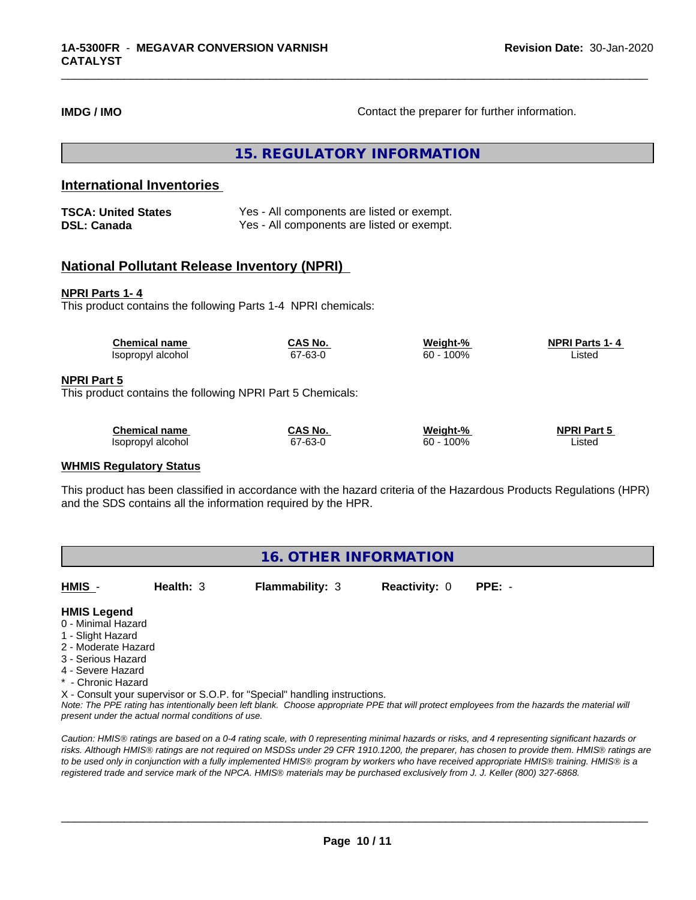**IMDG / IMO Contact the preparer for further information.** 

\_\_\_\_\_\_\_\_\_\_\_\_\_\_\_\_\_\_\_\_\_\_\_\_\_\_\_\_\_\_\_\_\_\_\_\_\_\_\_\_\_\_\_\_\_\_\_\_\_\_\_\_\_\_\_\_\_\_\_\_\_\_\_\_\_\_\_\_\_\_\_\_\_\_\_\_\_\_\_\_\_\_\_\_\_\_\_\_\_\_\_\_\_

**15. REGULATORY INFORMATION**

# **International Inventories**

| <b>TSCA: United States</b> | Yes - All components are listed or exempt. |
|----------------------------|--------------------------------------------|
| <b>DSL: Canada</b>         | Yes - All components are listed or exempt. |

# **National Pollutant Release Inventory (NPRI)**

#### **NPRI Parts 1- 4**

**NPRI** 

This product contains the following Parts 1-4 NPRI chemicals:

| <b>Chemical name</b>                                                             | CAS No. | Weight-%     | <b>NPRI Parts 1-4</b> |  |
|----------------------------------------------------------------------------------|---------|--------------|-----------------------|--|
| Isopropyl alcohol                                                                | 67-63-0 | $60 - 100\%$ | Listed                |  |
| <b>NPRI Part 5</b><br>This product contains the following NPRI Part 5 Chemicals: |         |              |                       |  |
|                                                                                  |         |              |                       |  |
| <b>Chemical name</b>                                                             | CAS No. | Weight-%     | <b>NPRI Part 5</b>    |  |
| Isopropyl alcohol                                                                | 67-63-0 | $60 - 100\%$ | Listed                |  |

#### **WHMIS Regulatory Status**

This product has been classified in accordance with the hazard criteria of the Hazardous Products Regulations (HPR) and the SDS contains all the information required by the HPR.

| <b>16. OTHER INFORMATION</b> |
|------------------------------|
|------------------------------|

| HMIS | Health: $3$ | <b>Flammability: 3</b> | <b>Reactivity: 0 PPE: -</b> |  |
|------|-------------|------------------------|-----------------------------|--|
|      |             |                        |                             |  |

#### **HMIS Legend**

- 0 Minimal Hazard
- 1 Slight Hazard
- 2 Moderate Hazard
- 3 Serious Hazard
- 4 Severe Hazard
- \* Chronic Hazard

X - Consult your supervisor or S.O.P. for "Special" handling instructions.

*Note: The PPE rating has intentionally been left blank. Choose appropriate PPE that will protect employees from the hazards the material will present under the actual normal conditions of use.*

*Caution: HMISÒ ratings are based on a 0-4 rating scale, with 0 representing minimal hazards or risks, and 4 representing significant hazards or risks. Although HMISÒ ratings are not required on MSDSs under 29 CFR 1910.1200, the preparer, has chosen to provide them. HMISÒ ratings are to be used only in conjunction with a fully implemented HMISÒ program by workers who have received appropriate HMISÒ training. HMISÒ is a registered trade and service mark of the NPCA. HMISÒ materials may be purchased exclusively from J. J. Keller (800) 327-6868.*